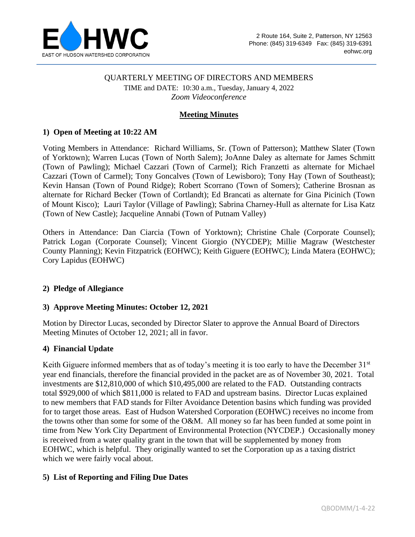

### QUARTERLY MEETING OF DIRECTORS AND MEMBERS

TIME and DATE: 10:30 a.m., Tuesday, January 4, 2022 *Zoom Videoconference*

### **Meeting Minutes**

### **1) Open of Meeting at 10:22 AM**

Voting Members in Attendance: Richard Williams, Sr. (Town of Patterson); Matthew Slater (Town of Yorktown); Warren Lucas (Town of North Salem); JoAnne Daley as alternate for James Schmitt (Town of Pawling); Michael Cazzari (Town of Carmel); Rich Franzetti as alternate for Michael Cazzari (Town of Carmel); Tony Goncalves (Town of Lewisboro); Tony Hay (Town of Southeast); Kevin Hansan (Town of Pound Ridge); Robert Scorrano (Town of Somers); Catherine Brosnan as alternate for Richard Becker (Town of Cortlandt); Ed Brancati as alternate for Gina Picinich (Town of Mount Kisco); Lauri Taylor (Village of Pawling); Sabrina Charney-Hull as alternate for Lisa Katz (Town of New Castle); Jacqueline Annabi (Town of Putnam Valley)

Others in Attendance: Dan Ciarcia (Town of Yorktown); Christine Chale (Corporate Counsel); Patrick Logan (Corporate Counsel); Vincent Giorgio (NYCDEP); Millie Magraw (Westchester County Planning); Kevin Fitzpatrick (EOHWC); Keith Giguere (EOHWC); Linda Matera (EOHWC); Cory Lapidus (EOHWC)

### **2) Pledge of Allegiance**

### **3) Approve Meeting Minutes: October 12, 2021**

Motion by Director Lucas, seconded by Director Slater to approve the Annual Board of Directors Meeting Minutes of October 12, 2021; all in favor.

### **4) Financial Update**

Keith Giguere informed members that as of today's meeting it is too early to have the December  $31<sup>st</sup>$ year end financials, therefore the financial provided in the packet are as of November 30, 2021. Total investments are \$12,810,000 of which \$10,495,000 are related to the FAD. Outstanding contracts total \$929,000 of which \$811,000 is related to FAD and upstream basins. Director Lucas explained to new members that FAD stands for Filter Avoidance Detention basins which funding was provided for to target those areas. East of Hudson Watershed Corporation (EOHWC) receives no income from the towns other than some for some of the O&M. All money so far has been funded at some point in time from New York City Department of Environmental Protection (NYCDEP.) Occasionally money is received from a water quality grant in the town that will be supplemented by money from EOHWC, which is helpful. They originally wanted to set the Corporation up as a taxing district which we were fairly vocal about.

### **5) List of Reporting and Filing Due Dates**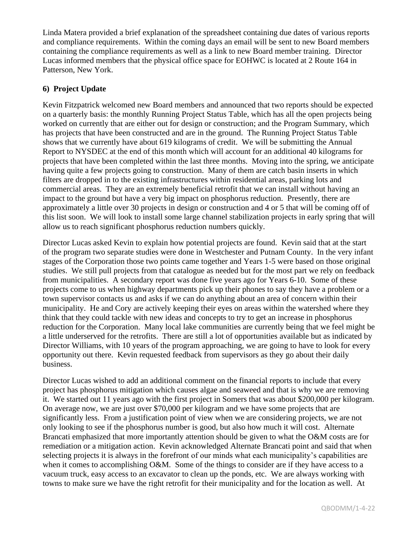Linda Matera provided a brief explanation of the spreadsheet containing due dates of various reports and compliance requirements. Within the coming days an email will be sent to new Board members containing the compliance requirements as well as a link to new Board member training. Director Lucas informed members that the physical office space for EOHWC is located at 2 Route 164 in Patterson, New York.

### **6) Project Update**

Kevin Fitzpatrick welcomed new Board members and announced that two reports should be expected on a quarterly basis: the monthly Running Project Status Table, which has all the open projects being worked on currently that are either out for design or construction; and the Program Summary, which has projects that have been constructed and are in the ground. The Running Project Status Table shows that we currently have about 619 kilograms of credit. We will be submitting the Annual Report to NYSDEC at the end of this month which will account for an additional 40 kilograms for projects that have been completed within the last three months. Moving into the spring, we anticipate having quite a few projects going to construction. Many of them are catch basin inserts in which filters are dropped in to the existing infrastructures within residential areas, parking lots and commercial areas. They are an extremely beneficial retrofit that we can install without having an impact to the ground but have a very big impact on phosphorus reduction. Presently, there are approximately a little over 30 projects in design or construction and 4 or 5 that will be coming off of this list soon. We will look to install some large channel stabilization projects in early spring that will allow us to reach significant phosphorus reduction numbers quickly.

Director Lucas asked Kevin to explain how potential projects are found. Kevin said that at the start of the program two separate studies were done in Westchester and Putnam County. In the very infant stages of the Corporation those two points came together and Years 1-5 were based on those original studies. We still pull projects from that catalogue as needed but for the most part we rely on feedback from municipalities. A secondary report was done five years ago for Years 6-10. Some of these projects come to us when highway departments pick up their phones to say they have a problem or a town supervisor contacts us and asks if we can do anything about an area of concern within their municipality. He and Cory are actively keeping their eyes on areas within the watershed where they think that they could tackle with new ideas and concepts to try to get an increase in phosphorus reduction for the Corporation. Many local lake communities are currently being that we feel might be a little underserved for the retrofits. There are still a lot of opportunities available but as indicated by Director Williams, with 10 years of the program approaching, we are going to have to look for every opportunity out there. Kevin requested feedback from supervisors as they go about their daily business.

Director Lucas wished to add an additional comment on the financial reports to include that every project has phosphorus mitigation which causes algae and seaweed and that is why we are removing it. We started out 11 years ago with the first project in Somers that was about \$200,000 per kilogram. On average now, we are just over \$70,000 per kilogram and we have some projects that are significantly less. From a justification point of view when we are considering projects, we are not only looking to see if the phosphorus number is good, but also how much it will cost. Alternate Brancati emphasized that more importantly attention should be given to what the O&M costs are for remediation or a mitigation action. Kevin acknowledged Alternate Brancati point and said that when selecting projects it is always in the forefront of our minds what each municipality's capabilities are when it comes to accomplishing O&M. Some of the things to consider are if they have access to a vacuum truck, easy access to an excavator to clean up the ponds, etc. We are always working with towns to make sure we have the right retrofit for their municipality and for the location as well. At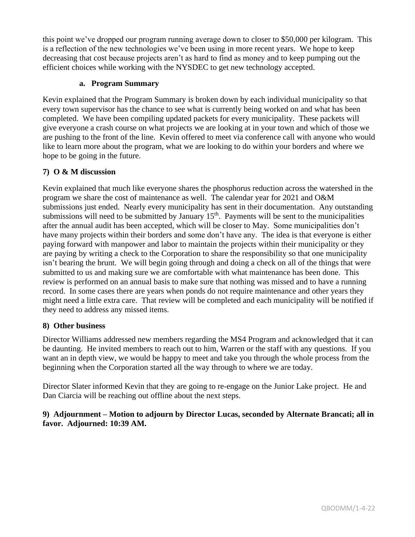this point we've dropped our program running average down to closer to \$50,000 per kilogram. This is a reflection of the new technologies we've been using in more recent years. We hope to keep decreasing that cost because projects aren't as hard to find as money and to keep pumping out the efficient choices while working with the NYSDEC to get new technology accepted.

### **a. Program Summary**

Kevin explained that the Program Summary is broken down by each individual municipality so that every town supervisor has the chance to see what is currently being worked on and what has been completed. We have been compiling updated packets for every municipality. These packets will give everyone a crash course on what projects we are looking at in your town and which of those we are pushing to the front of the line. Kevin offered to meet via conference call with anyone who would like to learn more about the program, what we are looking to do within your borders and where we hope to be going in the future.

# **7) O & M discussion**

Kevin explained that much like everyone shares the phosphorus reduction across the watershed in the program we share the cost of maintenance as well. The calendar year for 2021 and O&M submissions just ended. Nearly every municipality has sent in their documentation. Any outstanding submissions will need to be submitted by January  $15<sup>th</sup>$ . Payments will be sent to the municipalities after the annual audit has been accepted, which will be closer to May. Some municipalities don't have many projects within their borders and some don't have any. The idea is that everyone is either paying forward with manpower and labor to maintain the projects within their municipality or they are paying by writing a check to the Corporation to share the responsibility so that one municipality isn't bearing the brunt. We will begin going through and doing a check on all of the things that were submitted to us and making sure we are comfortable with what maintenance has been done. This review is performed on an annual basis to make sure that nothing was missed and to have a running record. In some cases there are years when ponds do not require maintenance and other years they might need a little extra care. That review will be completed and each municipality will be notified if they need to address any missed items.

# **8) Other business**

Director Williams addressed new members regarding the MS4 Program and acknowledged that it can be daunting. He invited members to reach out to him, Warren or the staff with any questions. If you want an in depth view, we would be happy to meet and take you through the whole process from the beginning when the Corporation started all the way through to where we are today.

Director Slater informed Kevin that they are going to re-engage on the Junior Lake project. He and Dan Ciarcia will be reaching out offline about the next steps.

## **9) Adjournment – Motion to adjourn by Director Lucas, seconded by Alternate Brancati; all in favor. Adjourned: 10:39 AM.**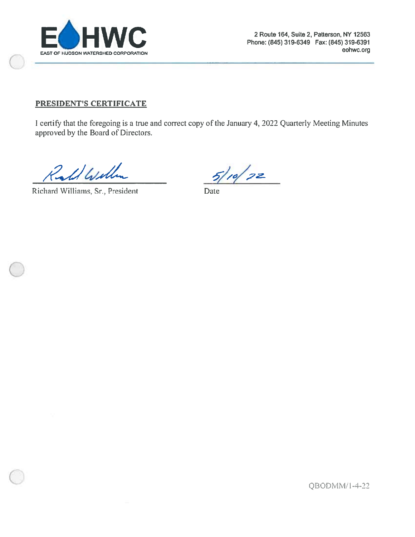

### PRESIDENT'S CERTIFICATE

I certify that the foregoing is a true and correct copy of the January 4, 2022 Quarterly Meeting Minutes approved by the Board of Directors.

Ralf Will

Richard Williams, Sr., President

 $5/10/22$ 

Date